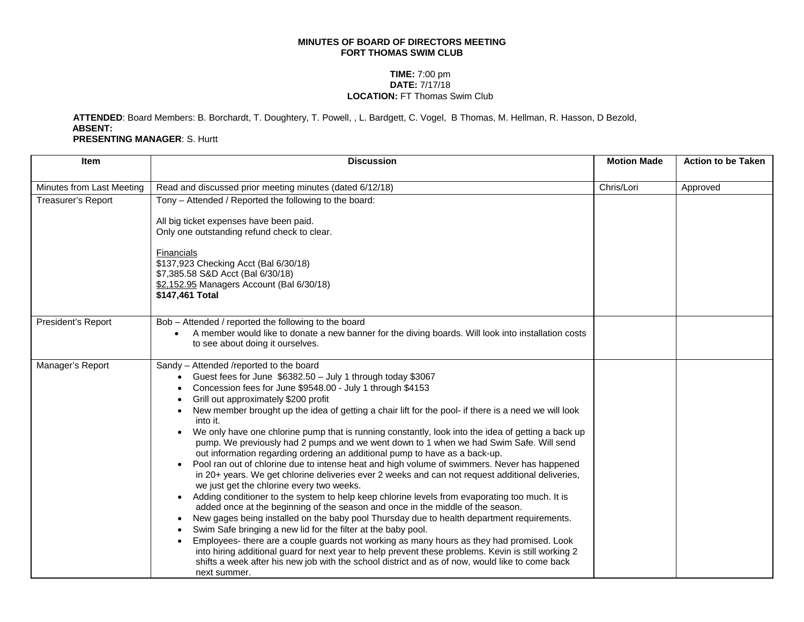## **MINUTES OF BOARD OF DIRECTORS MEETING FORT THOMAS SWIM CLUB**

## **TIME:** 7:00 pm **DATE:** 7/17/18 **LOCATION:** FT Thomas Swim Club

**ATTENDED**: Board Members: B. Borchardt, T. Doughtery, T. Powell, , L. Bardgett, C. Vogel, B Thomas, M. Hellman, R. Hasson, D Bezold, **ABSENT: PRESENTING MANAGER**: S. Hurtt

| <b>Item</b>               | <b>Discussion</b>                                                                                                                                                                                                                                                                                                                                                                                                                                                                                                                                                                                                                                                                                                                                                                                                                                                                                                                                                                                                                                                                                                                                                                                                                                                                                                                                                                                                                                                                                                                                                                  | <b>Motion Made</b> | <b>Action to be Taken</b> |
|---------------------------|------------------------------------------------------------------------------------------------------------------------------------------------------------------------------------------------------------------------------------------------------------------------------------------------------------------------------------------------------------------------------------------------------------------------------------------------------------------------------------------------------------------------------------------------------------------------------------------------------------------------------------------------------------------------------------------------------------------------------------------------------------------------------------------------------------------------------------------------------------------------------------------------------------------------------------------------------------------------------------------------------------------------------------------------------------------------------------------------------------------------------------------------------------------------------------------------------------------------------------------------------------------------------------------------------------------------------------------------------------------------------------------------------------------------------------------------------------------------------------------------------------------------------------------------------------------------------------|--------------------|---------------------------|
| Minutes from Last Meeting | Read and discussed prior meeting minutes (dated 6/12/18)                                                                                                                                                                                                                                                                                                                                                                                                                                                                                                                                                                                                                                                                                                                                                                                                                                                                                                                                                                                                                                                                                                                                                                                                                                                                                                                                                                                                                                                                                                                           | Chris/Lori         | Approved                  |
| Treasurer's Report        | Tony - Attended / Reported the following to the board:                                                                                                                                                                                                                                                                                                                                                                                                                                                                                                                                                                                                                                                                                                                                                                                                                                                                                                                                                                                                                                                                                                                                                                                                                                                                                                                                                                                                                                                                                                                             |                    |                           |
|                           | All big ticket expenses have been paid.<br>Only one outstanding refund check to clear.                                                                                                                                                                                                                                                                                                                                                                                                                                                                                                                                                                                                                                                                                                                                                                                                                                                                                                                                                                                                                                                                                                                                                                                                                                                                                                                                                                                                                                                                                             |                    |                           |
|                           | Financials<br>\$137,923 Checking Acct (Bal 6/30/18)<br>\$7,385.58 S&D Acct (Bal 6/30/18)<br>\$2,152.95 Managers Account (Bal 6/30/18)<br>\$147,461 Total                                                                                                                                                                                                                                                                                                                                                                                                                                                                                                                                                                                                                                                                                                                                                                                                                                                                                                                                                                                                                                                                                                                                                                                                                                                                                                                                                                                                                           |                    |                           |
| President's Report        | Bob - Attended / reported the following to the board<br>A member would like to donate a new banner for the diving boards. Will look into installation costs<br>to see about doing it ourselves.                                                                                                                                                                                                                                                                                                                                                                                                                                                                                                                                                                                                                                                                                                                                                                                                                                                                                                                                                                                                                                                                                                                                                                                                                                                                                                                                                                                    |                    |                           |
| Manager's Report          | Sandy - Attended /reported to the board<br>Guest fees for June \$6382.50 - July 1 through today \$3067<br>Concession fees for June \$9548.00 - July 1 through \$4153<br>Grill out approximately \$200 profit<br>New member brought up the idea of getting a chair lift for the pool- if there is a need we will look<br>$\bullet$<br>into it.<br>We only have one chlorine pump that is running constantly, look into the idea of getting a back up<br>pump. We previously had 2 pumps and we went down to 1 when we had Swim Safe. Will send<br>out information regarding ordering an additional pump to have as a back-up.<br>Pool ran out of chlorine due to intense heat and high volume of swimmers. Never has happened<br>in 20+ years. We get chlorine deliveries ever 2 weeks and can not request additional deliveries,<br>we just get the chlorine every two weeks.<br>Adding conditioner to the system to help keep chlorine levels from evaporating too much. It is<br>$\bullet$<br>added once at the beginning of the season and once in the middle of the season.<br>New gages being installed on the baby pool Thursday due to health department requirements.<br>$\bullet$<br>Swim Safe bringing a new lid for the filter at the baby pool.<br>Employees- there are a couple guards not working as many hours as they had promised. Look<br>into hiring additional guard for next year to help prevent these problems. Kevin is still working 2<br>shifts a week after his new job with the school district and as of now, would like to come back<br>next summer. |                    |                           |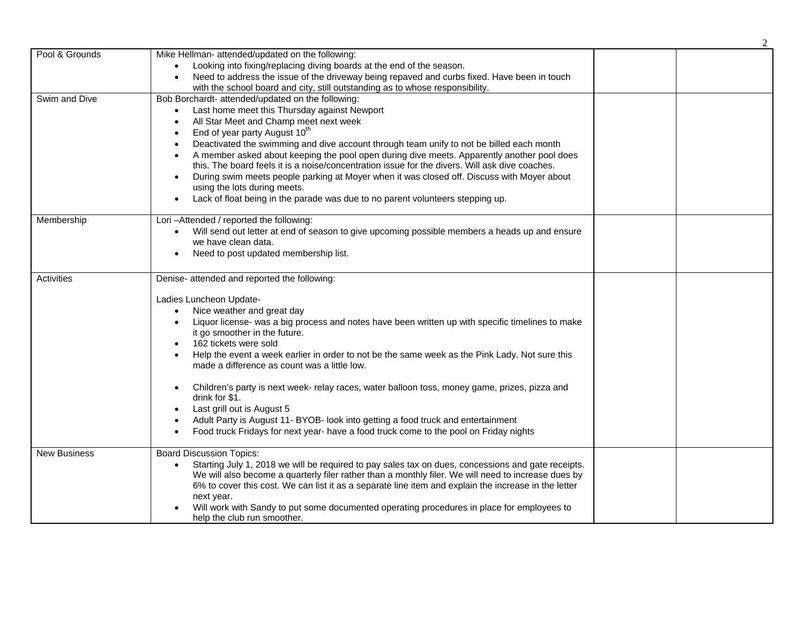|                     |                                                                                                                                                                                                                                                                                                                                                                                                                                                                                                                                                                                                                                                                                                                                                                               | 2 |
|---------------------|-------------------------------------------------------------------------------------------------------------------------------------------------------------------------------------------------------------------------------------------------------------------------------------------------------------------------------------------------------------------------------------------------------------------------------------------------------------------------------------------------------------------------------------------------------------------------------------------------------------------------------------------------------------------------------------------------------------------------------------------------------------------------------|---|
| Pool & Grounds      | Mike Hellman- attended/updated on the following:<br>Looking into fixing/replacing diving boards at the end of the season.<br>Need to address the issue of the driveway being repaved and curbs fixed. Have been in touch<br>$\bullet$<br>with the school board and city, still outstanding as to whose responsibility.                                                                                                                                                                                                                                                                                                                                                                                                                                                        |   |
| Swim and Dive       | Bob Borchardt- attended/updated on the following:<br>Last home meet this Thursday against Newport<br>All Star Meet and Champ meet next week<br>End of year party August 10 <sup>th</sup><br>$\bullet$<br>Deactivated the swimming and dive account through team unify to not be billed each month<br>A member asked about keeping the pool open during dive meets. Apparently another pool does<br>this. The board feels it is a noise/concentration issue for the divers. Will ask dive coaches.<br>During swim meets people parking at Moyer when it was closed off. Discuss with Moyer about<br>$\bullet$<br>using the lots during meets.<br>Lack of float being in the parade was due to no parent volunteers stepping up.                                                |   |
| Membership          | Lori-Attended / reported the following:<br>Will send out letter at end of season to give upcoming possible members a heads up and ensure<br>$\bullet$<br>we have clean data.<br>Need to post updated membership list.                                                                                                                                                                                                                                                                                                                                                                                                                                                                                                                                                         |   |
| Activities          | Denise- attended and reported the following:<br>Ladies Luncheon Update-<br>Nice weather and great day<br>$\bullet$<br>Liquor license- was a big process and notes have been written up with specific timelines to make<br>$\bullet$<br>it go smoother in the future.<br>162 tickets were sold<br>Help the event a week earlier in order to not be the same week as the Pink Lady. Not sure this<br>made a difference as count was a little low.<br>Children's party is next week- relay races, water balloon toss, money game, prizes, pizza and<br>drink for \$1.<br>Last grill out is August 5<br>Adult Party is August 11- BYOB- look into getting a food truck and entertainment<br>Food truck Fridays for next year- have a food truck come to the pool on Friday nights |   |
| <b>New Business</b> | <b>Board Discussion Topics:</b><br>Starting July 1, 2018 we will be required to pay sales tax on dues, concessions and gate receipts.<br>We will also become a quarterly filer rather than a monthly filer. We will need to increase dues by<br>6% to cover this cost. We can list it as a separate line item and explain the increase in the letter<br>next year.<br>Will work with Sandy to put some documented operating procedures in place for employees to<br>help the club run smoother.                                                                                                                                                                                                                                                                               |   |